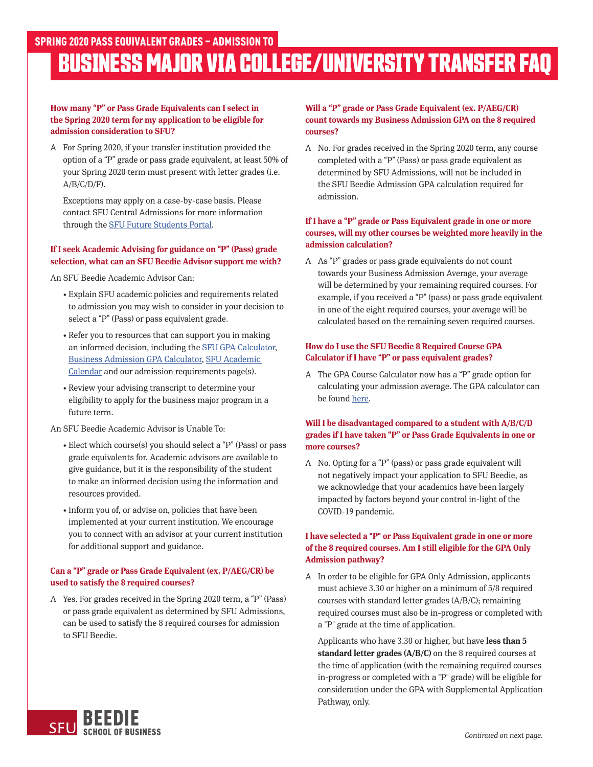# **BUSINESS MAJOR VIA COLLEGE/UNIVERSITY TRANSFER FAQ**

#### **How many "P" or Pass Grade Equivalents can I select in the Spring 2020 term for my application to be eligible for admission consideration to SFU?**

A For Spring 2020, if your transfer institution provided the option of a "P" grade or pass grade equivalent, at least 50% of your Spring 2020 term must present with letter grades (i.e.  $A/B/C/D/F$ ).

 Exceptions may apply on a case-by-case basis. Please contact SFU Central Admissions for more information through the [SFU Future Students Portal.](https://community.sfu.ca/futurestudents/s/)

### **If I seek Academic Advising for guidance on "P" (Pass) grade selection, what can an SFU Beedie Advisor support me with?**

An SFU Beedie Academic Advisor Can:

- Explain SFU academic policies and requirements related to admission you may wish to consider in your decision to select a "P" (Pass) or pass equivalent grade.
- Refer you to resources that can support you in making an informed decision, including the [SFU GPA Calculator](https://www.sfu.ca/students/advising-resources/calculators/gpa-calculator.html), [Business Admission GPA Calculator](https://beedie.sfu.ca/programs/undergraduate/bba-major/requirements/gpa-calculator-major), [SFU Academic](https://www.sfu.ca/students/calendar/2020/spring.html)  [Calendar](https://www.sfu.ca/students/calendar/2020/spring.html) and our admission requirements page(s).
- Review your advising transcript to determine your eligibility to apply for the business major program in a future term.

An SFU Beedie Academic Advisor is Unable To:

- Elect which course(s) you should select a "P" (Pass) or pass grade equivalents for. Academic advisors are available to give guidance, but it is the responsibility of the student to make an informed decision using the information and resources provided.
- Inform you of, or advise on, policies that have been implemented at your current institution. We encourage you to connect with an advisor at your current institution for additional support and guidance.

# **Can a "P" grade or Pass Grade Equivalent (ex. P/AEG/CR) be used to satisfy the 8 required courses?**

A Yes. For grades received in the Spring 2020 term, a "P" (Pass) or pass grade equivalent as determined by SFU Admissions, can be used to satisfy the 8 required courses for admission to SFU Beedie.

# **Will a "P" grade or Pass Grade Equivalent (ex. P/AEG/CR) count towards my Business Admission GPA on the 8 required courses?**

A No. For grades received in the Spring 2020 term, any course completed with a "P" (Pass) or pass grade equivalent as determined by SFU Admissions, will not be included in the SFU Beedie Admission GPA calculation required for admission.

# **If I have a "P" grade or Pass Equivalent grade in one or more courses, will my other courses be weighted more heavily in the admission calculation?**

A As "P" grades or pass grade equivalents do not count towards your Business Admission Average, your average will be determined by your remaining required courses. For example, if you received a "P" (pass) or pass grade equivalent in one of the eight required courses, your average will be calculated based on the remaining seven required courses.

# **How do I use the SFU Beedie 8 Required Course GPA Calculator if I have "P" or pass equivalent grades?**

A The GPA Course Calculator now has a "P" grade option for calculating your admission average. The GPA calculator can be found [here.](https://beedie.sfu.ca/programs/undergraduate/bba-major/requirements/gpa-calculator-major)

### **Will I be disadvantaged compared to a student with A/B/C/D grades if I have taken "P" or Pass Grade Equivalents in one or more courses?**

A No. Opting for a "P" (pass) or pass grade equivalent will not negatively impact your application to SFU Beedie, as we acknowledge that your academics have been largely impacted by factors beyond your control in-light of the COVID-19 pandemic.

# **I have selected a "P" or Pass Equivalent grade in one or more of the 8 required courses. Am I still eligible for the GPA Only Admission pathway?**

A In order to be eligible for GPA Only Admission, applicants must achieve 3.30 or higher on a minimum of 5/8 required courses with standard letter grades (A/B/C); remaining required courses must also be in-progress or completed with a "P" grade at the time of application.

 Applicants who have 3.30 or higher, but have **less than 5 standard letter grades (A/B/C)** on the 8 required courses at the time of application (with the remaining required courses in-progress or completed with a "P" grade) will be eligible for consideration under the GPA with Supplemental Application Pathway, only.